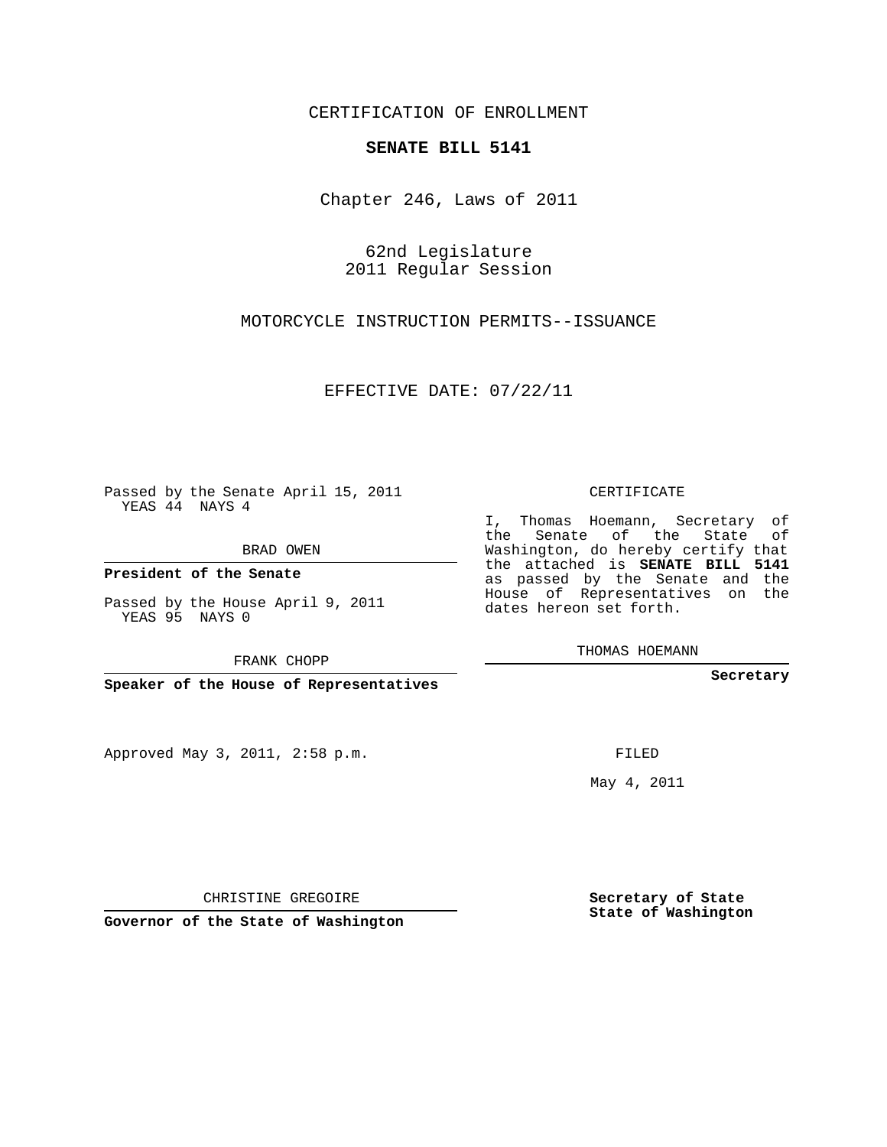## CERTIFICATION OF ENROLLMENT

## **SENATE BILL 5141**

Chapter 246, Laws of 2011

62nd Legislature 2011 Regular Session

MOTORCYCLE INSTRUCTION PERMITS--ISSUANCE

EFFECTIVE DATE: 07/22/11

Passed by the Senate April 15, 2011 YEAS 44 NAYS 4

BRAD OWEN

**President of the Senate**

Passed by the House April 9, 2011 YEAS 95 NAYS 0

FRANK CHOPP

**Speaker of the House of Representatives**

Approved May 3, 2011, 2:58 p.m.

CERTIFICATE

I, Thomas Hoemann, Secretary of the Senate of the State of Washington, do hereby certify that the attached is **SENATE BILL 5141** as passed by the Senate and the House of Representatives on the dates hereon set forth.

THOMAS HOEMANN

**Secretary**

FILED

May 4, 2011

**Secretary of State State of Washington**

CHRISTINE GREGOIRE

**Governor of the State of Washington**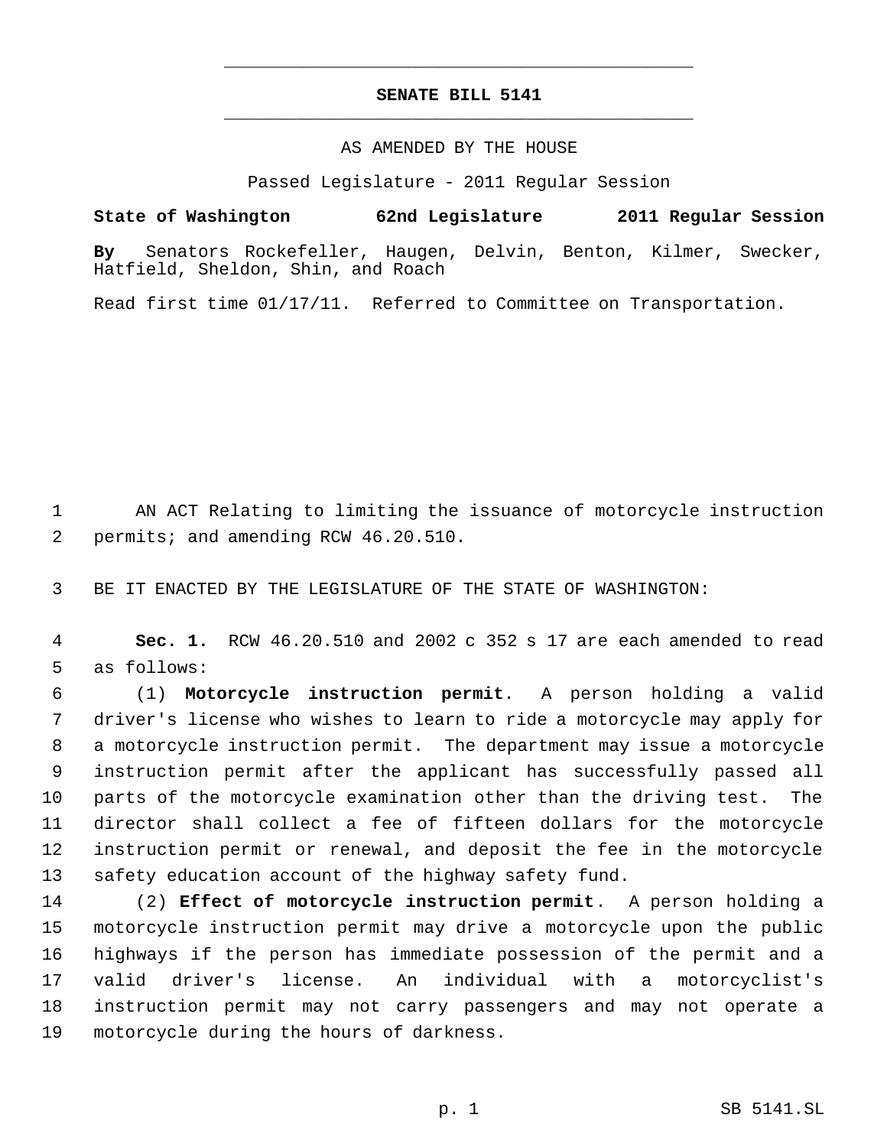## **SENATE BILL 5141** \_\_\_\_\_\_\_\_\_\_\_\_\_\_\_\_\_\_\_\_\_\_\_\_\_\_\_\_\_\_\_\_\_\_\_\_\_\_\_\_\_\_\_\_\_

\_\_\_\_\_\_\_\_\_\_\_\_\_\_\_\_\_\_\_\_\_\_\_\_\_\_\_\_\_\_\_\_\_\_\_\_\_\_\_\_\_\_\_\_\_

## AS AMENDED BY THE HOUSE

Passed Legislature - 2011 Regular Session

**State of Washington 62nd Legislature 2011 Regular Session By** Senators Rockefeller, Haugen, Delvin, Benton, Kilmer, Swecker, Hatfield, Sheldon, Shin, and Roach

Read first time 01/17/11. Referred to Committee on Transportation.

 AN ACT Relating to limiting the issuance of motorcycle instruction permits; and amending RCW 46.20.510.

BE IT ENACTED BY THE LEGISLATURE OF THE STATE OF WASHINGTON:

 **Sec. 1.** RCW 46.20.510 and 2002 c 352 s 17 are each amended to read as follows:

 (1) **Motorcycle instruction permit**. A person holding a valid driver's license who wishes to learn to ride a motorcycle may apply for a motorcycle instruction permit. The department may issue a motorcycle instruction permit after the applicant has successfully passed all parts of the motorcycle examination other than the driving test. The director shall collect a fee of fifteen dollars for the motorcycle instruction permit or renewal, and deposit the fee in the motorcycle safety education account of the highway safety fund.

 (2) **Effect of motorcycle instruction permit**. A person holding a motorcycle instruction permit may drive a motorcycle upon the public highways if the person has immediate possession of the permit and a valid driver's license. An individual with a motorcyclist's instruction permit may not carry passengers and may not operate a motorcycle during the hours of darkness.